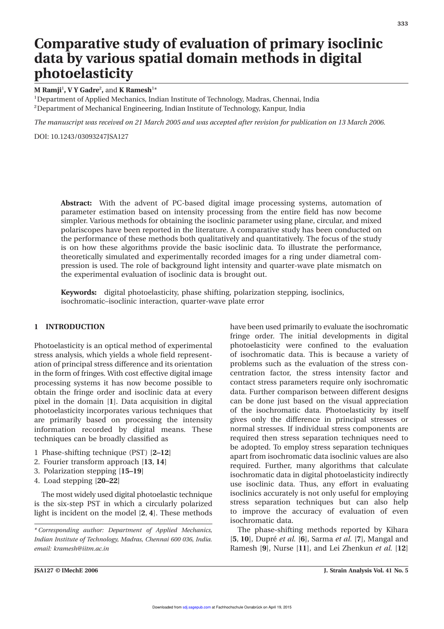## **Comparative study of evaluation of primary isoclinic data by various spatial domain methods in digital photoelasticity**

**M Ramji**1**, V Y Gadre**2**,** and **K Ramesh**1\*

1Department of Applied Mechanics, Indian Institute of Technology, Madras, Chennai, India 2Department of Mechanical Engineering, Indian Institute of Technology, Kanpur, India

*The manuscript was received on 21 March 2005 and was accepted after revision for publication on 13 March 2006.*

DOI: 10.1243/03093247JSA127

**Abstract:** With the advent of PC-based digital image processing systems, automation of parameter estimation based on intensity processing from the entire field has now become simpler. Various methods for obtaining the isoclinic parameter using plane, circular, and mixed polariscopes have been reported in the literature. A comparative study has been conducted on the performance of these methods both qualitatively and quantitatively. The focus of the study is on how these algorithms provide the basic isoclinic data. To illustrate the performance, theoretically simulated and experimentally recorded images for a ring under diametral compression is used. The role of background light intensity and quarter-wave plate mismatch on the experimental evaluation of isoclinic data is brought out.

**Keywords:** digital photoelasticity, phase shifting, polarization stepping, isoclinics, isochromatic–isoclinic interaction, quarter-wave plate error

Photoelasticity is an optical method of experimental photoelasticity were confined to the evaluation stress analysis, which yields a whole field represent- of isochromatic data. This is because a variety of ation of principal stress difference and its orientation problems such as the evaluation of the stress conin the form of fringes. With cost effective digital image centration factor, the stress intensity factor and processing systems it has now become possible to contact stress parameters require only isochromatic obtain the fringe order and isoclinic data at every data. Further comparison between different designs pixel in the domain [**1**]. Data acquisition in digital can be done just based on the visual appreciation photoelasticity incorporates various techniques that of the isochromatic data. Photoelasticity by itself are primarily based on processing the intensity gives only the difference in principal stresses or information recorded by digital means. These normal stresses. If individual stress components are techniques can be broadly classified as required then stress separation techniques need to

- 1 Phase-shifting technique (PST) [**2–12**]
- 2. Fourier transform approach [**13**, **14**]
- 3. Polarization stepping [**15–19**]
- 4. Load stepping [**20–22**]

light is incident on the model [2, 4]. These methods

**1 INTRODUCTION** have been used primarily to evaluate the isochromatic fringe order. The initial developments in digital be adopted. To employ stress separation techniques apart from isochromatic data isoclinic values are also required. Further, many algorithms that calculate isochromatic data in digital photoelasticity indirectly use isoclinic data. Thus, any effort in evaluating The most widely used digital photoelastic technique isoclinics accurately is not only useful for employing<br>the six-step PST in which a circularly polarized stress separation techniques but can also help is the six-step PST in which a circularly polarized stress separation techniques but can also help<br>light is incident on the model [2, 4]. These methods to improve the accuracy of evaluation of even isochromatic data.

*\* Corresponding author: Department of Applied Mechanics,* The phase-shifting methods reported by Kihara *Indian Institute of Technology, Madras, Chennai 600 036, India.* [**5**, **10**], Dupre´ *et al.* [**6**], Sarma *et al.* [**7**], Mangal and *email: kramesh@iitm.ac.in* Ramesh [**9**], Nurse [**11**], and Lei Zhenkun *et al.* [**12**]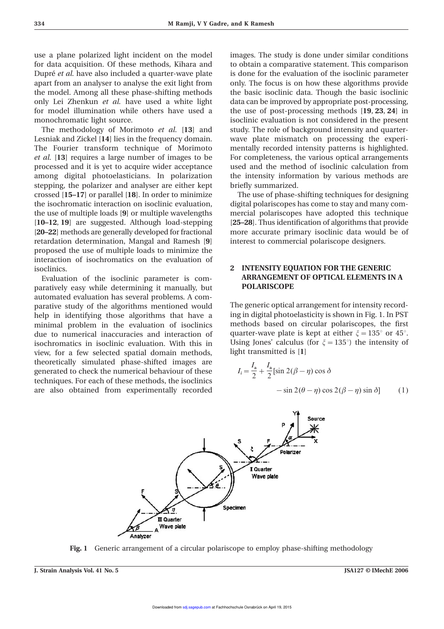use a plane polarized light incident on the model images. The study is done under similar conditions for data acquisition. Of these methods, Kihara and to obtain a comparative statement. This comparison Dupré et al. have also included a quarter-wave plate is done for the evaluation of the isoclinic parameter apart from an analyser to analyse the exit light from only. The focus is on how these algorithms provide the model. Among all these phase-shifting methods the basic isoclinic data. Though the basic isoclinic only Lei Zhenkun *et al.* have used a white light data can be improved by appropriate post-processing, for model illumination while others have used a the use of post-processing methods [**19**, **23**, **24**] in monochromatic light source. isoclinic evaluation is not considered in the present

Lesniak and Zickel [**14**] lies in the frequency domain. wave plate mismatch on processing the experi-The Fourier transform technique of Morimoto mentally recorded intensity patterns is highlighted. et al. [13] requires a large number of images to be For completeness, the various optical arrangements processed and it is yet to acquire wider acceptance used and the method of isoclinic calculation from among digital photoelasticians. In polarization the intensity information by various methods are stepping, the polarizer and analyser are either kept briefly summarized. crossed [**15–17**] or parallel [**18**]. In order to minimize The use of phase-shifting techniques for designing the isochromatic interaction on isoclinic evaluation, digital polariscopes has come to stay and many comthe use of multiple loads [**9**] or multiple wavelengths mercial polariscopes have adopted this technique [**10–12**, **19**] are suggested. Although load-stepping [**25–28**]. Thus identification of algorithms that provide [**20–22**] methods are generally developed for fractional more accurate primary isoclinic data would be of retardation determination, Mangal and Ramesh [**9**] interest to commercial polariscope designers. proposed the use of multiple loads to minimize the interaction of isochromatics on the evaluation of

Evaluation of the isoclinic parameter is comparatively easy while determining it manually, but **POLARISCOPE** automated evaluation has several problems. A comparative study of the algorithms mentioned would<br>help in identifying those algorithms that have a ling in digital photoelasticity is shown in Fig. 1. In PST help in identifying those algorithms that have a minimal problem in the evaluation of isoclinics methods based on circular polariscopes, the first due to numerical inaccuracies and interaction of quarter-wave plate is kept at either  $\zeta = 135^\circ$  or 45°. isochromatics in isoclinic evaluation. With this in Using Jones' calculus (for  $\xi = 135^{\circ}$ ) the intensity of view, for a few selected spatial domain methods, light transmitted is [**1**] theoretically simulated phase-shifted images are generated to check the numerical behaviour of these techniques. For each of these methods, the isoclinics are also obtained from experimentally recorded

The methodology of Morimoto *et al.* [**13**] and study. The role of background intensity and quarter-

# isoclinics. **2 INTENSITY EQUATION FOR THE GENERIC**

$$
I_i = \frac{I_a}{2} + \frac{I_a}{2} [\sin 2(\beta - \eta) \cos \delta
$$
  
-  $\sin 2(\theta - \eta) \cos 2(\beta - \eta) \sin \delta$  (1)



**Fig. 1** Generic arrangement of a circular polariscope to employ phase-shifting methodology

**J. Strain Analysis Vol. 41 No. 5 JSA127 © IMechE 2006**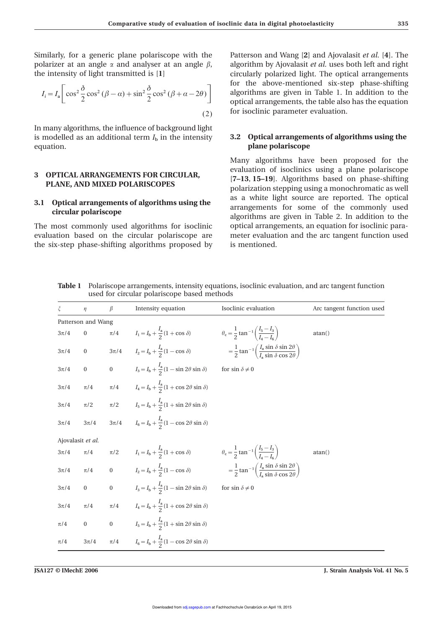Similarly, for a generic plane polariscope with the Patterson and Wang [**2**] and Ajovalasit *et al.* [**4**]. The polarizer at an angle  $\alpha$  and analyser at an angle  $\beta$ , algorithm by Ajovalasit *et al.* uses both left and right

$$
I_i = I_a \left[ \cos^2 \frac{\delta}{2} \cos^2 (\beta - a) + \sin^2 \frac{\delta}{2} \cos^2 (\beta + a - 2\theta) \right]
$$
\n(2)

In many algorithms, the influence of background light is modelled as an additional term  $I<sub>b</sub>$  in the intensity  $\qquad 3.2$  Optical arrangements of algorithms using the equation. **plane polariscope**

evaluation based on the circular polariscope are meter evaluation and the arc tangent function used the six-step phase-shifting algorithms proposed by is mentioned.

the intensity of light transmitted is [**1**] circularly polarized light. The optical arrangements for the above-mentioned six-step phase-shifting  $I_i = I_a \left[\cos^2 \frac{\delta}{2} \cos^2 (\beta - \alpha) + \sin^2 \frac{\delta}{2} \cos^2 (\beta + \alpha - 2\theta)\right]$  on the above-incredibile also has the equation to the optical arrangements, the table also has the equation for isoclinic parameter evaluation.

Many algorithms have been proposed for the **3 OPTICAL ARRANGEMENTS FOR CIRCULAR,** evaluation of isoclinics using a plane polariscope<br>PLANE, AND MIXED POLARISCOPES [7-13, 15-19]. Algorithms based on phase-shifting<br>polarization stepping using a monochromatic as well **3.1 Optical arrangements of algorithms using the** as a white light source are reported. The optical arrangements for some of the commonly used algorithms are given in Table 2. In addition to the The most commonly used algorithms for isoclinic optical arrangements, an equation for isoclinic para-

| ξ        | $\eta$             | β | Intensity equation                                                                                                                                                | Isoclinic evaluation    | Arc tangent function used |
|----------|--------------------|---|-------------------------------------------------------------------------------------------------------------------------------------------------------------------|-------------------------|---------------------------|
|          | Patterson and Wang |   |                                                                                                                                                                   |                         |                           |
| $3\pi/4$ | $\boldsymbol{0}$   |   | $\pi/4$ $I_1 = I_b + \frac{I_a}{2}(1 + \cos \delta)$ $\theta_c = \frac{1}{2} \tan^{-1} \left( \frac{I_5 - I_3}{I_1 - I_2} \right)$                                |                         | atan()                    |
| $3\pi/4$ | $\overline{0}$     |   | $3\pi/4$ $I_2 = I_b + \frac{I_a}{2}(1 - \cos \delta)$ $= \frac{1}{2} \tan^{-1} \left( \frac{I_a \sin \delta \sin 2\theta}{I_a \sin \delta \cos 2\theta} \right)$  |                         |                           |
| $3\pi/4$ | $\boldsymbol{0}$   |   | 0 $I_3 = I_b + \frac{I_a}{2}(1 - \sin 2\theta \sin \theta)$                                                                                                       | for sin $\delta \neq 0$ |                           |
| $3\pi/4$ |                    |   | $\pi/4$ $\pi/4$ $I_4 = I_b + \frac{I_a}{2}(1 + \cos 2\theta \sin \theta)$                                                                                         |                         |                           |
| $3\pi/4$ | $\pi/2$            |   | $\pi/2$ $I_5 = I_b + \frac{I_a}{2}(1 + \sin 2\theta \sin \delta)$                                                                                                 |                         |                           |
| $3\pi/4$ | $3\pi/4$           |   | $3\pi/4$ $I_6 = I_b + \frac{I_a}{2}(1 - \cos 2\theta \sin \delta)$                                                                                                |                         |                           |
|          | Ajovalasit et al.  |   |                                                                                                                                                                   |                         |                           |
| $3\pi/4$ |                    |   | $\pi/4$ $\pi/2$ $I_1 = I_b + \frac{I_a}{2}(1 + \cos \delta)$ $\theta_c = \frac{1}{2} \tan^{-1} \left( \frac{I_5 - I_3}{I_1 - I_6} \right)$                        |                         | atan()                    |
| $3\pi/4$ |                    |   | $\pi/4$ 0 $I_2 = I_b + \frac{I_a}{2}(1 - \cos \delta)$ $= \frac{1}{2} \tan^{-1} \left( \frac{I_a \sin \delta \sin 2\theta}{I_a \sin \delta \cos 2\theta} \right)$ |                         |                           |
| $3\pi/4$ |                    |   | 0 0 $I_3 = I_b + \frac{I_a}{2}(1 - \sin 2\theta \sin \delta)$                                                                                                     | for $\sin\delta\neq 0$  |                           |
| $3\pi/4$ |                    |   | $\pi/4$ $\pi/4$ $I_4 = I_b + \frac{I_a}{2}(1 + \cos 2\theta \sin \delta)$                                                                                         |                         |                           |
| $\pi/4$  |                    |   | 0 0 $I_5 = I_b + \frac{I_a}{2}(1 + \sin 2\theta \sin \delta)$                                                                                                     |                         |                           |
| $\pi/4$  | $3\pi/4$           |   | $\pi/4$ $I_6 = I_b + \frac{I_a}{2}(1 - \cos 2\theta \sin \delta)$                                                                                                 |                         |                           |

**Table 1** Polariscope arrangements, intensity equations, isoclinic evaluation, and arc tangent function used for circular polariscope based methods

**JSA127 © IMechE 2006 J. Strain Analysis Vol. 41 No. 5**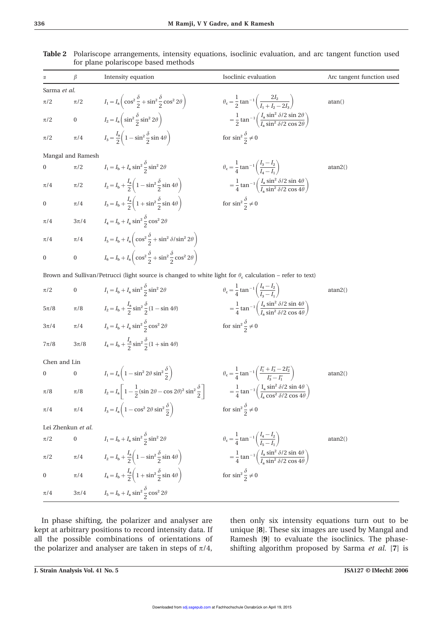|                  | $\beta$            | Intensity equation                                                                                                                                                                                                    | Isoclinic evaluation                                                                                               | Arc tangent function used |
|------------------|--------------------|-----------------------------------------------------------------------------------------------------------------------------------------------------------------------------------------------------------------------|--------------------------------------------------------------------------------------------------------------------|---------------------------|
| Sarma et al.     |                    |                                                                                                                                                                                                                       |                                                                                                                    |                           |
| $\pi/2$          | $\pi/2$            | $I_1 = I_a \left( \cos^2 \frac{\partial}{\partial z} + \sin^2 \frac{\partial}{\partial z} \cos^2 2\theta \right)$                                                                                                     | $\theta_c = \frac{1}{2} \tan^{-1} \left( \frac{2I_2}{I_1 + I_2 - 2I_1} \right)$                                    | atan()                    |
| $\pi/2$          |                    | 0 $I_2 = I_a \left( \sin^2 \frac{\delta}{2} \sin^2 2\theta \right)$                                                                                                                                                   | $= \frac{1}{2} \tan^{-1} \left( \frac{I_a \sin^2 \delta/2 \sin 2\theta}{I_a \sin^2 \delta/2 \cos 2\theta} \right)$ |                           |
| π/2              | $\pi/4$            | $I_3 = \frac{I_a}{2} \left( 1 - \sin^2 \frac{\partial}{\partial \theta} \sin 4\theta \right)$                                                                                                                         | for $\sin^2 \frac{\partial}{\partial x} \neq 0$                                                                    |                           |
|                  | Mangal and Ramesh  |                                                                                                                                                                                                                       |                                                                                                                    |                           |
| $\boldsymbol{0}$ | $\pi/2$            | $I_1 = I_b + I_a \sin^2{\frac{\theta}{2}} \sin^2{2\theta}$                                                                                                                                                            | $\theta_c = \frac{1}{4} \tan^{-1} \left( \frac{I_3 - I_2}{I_1 - I_2} \right)$                                      | atan2()                   |
| $\pi/4$          | $\pi/2$            | $I_2 = I_b + \frac{I_a}{2} \left( 1 - \sin^2 \frac{\delta}{2} \sin 4\theta \right)$                                                                                                                                   | $= \frac{1}{4} \tan^{-1} \left( \frac{I_a \sin^2 \delta/2 \sin 4\theta}{I_a \sin^2 \delta/2 \cos 4\theta} \right)$ |                           |
| $\boldsymbol{0}$ | $\pi/4$            | $I_3 = I_b + \frac{I_a}{2} \left( 1 + \sin^2 \frac{\delta}{2} \sin 4\theta \right)$                                                                                                                                   | for $\sin^2 \frac{\delta}{2} \neq 0$                                                                               |                           |
| $\pi/4$          |                    | $3\pi/4$ $I_4 = I_b + I_a \sin^2{\frac{\partial}{2}} \cos^2{2\theta}$                                                                                                                                                 |                                                                                                                    |                           |
| $\pi/4$          |                    | $\pi/4$ $I_5 = I_b + I_a \left( \cos^2 \frac{\delta}{2} + \sin^2 \delta / \sin^2 2\theta \right)$                                                                                                                     |                                                                                                                    |                           |
| $\boldsymbol{0}$ | $\boldsymbol{0}$   | $I_6 = I_b + I_a \left( \cos^2 \frac{\delta}{2} + \sin^2 \frac{\delta}{2} \cos^2 2\theta \right)$                                                                                                                     |                                                                                                                    |                           |
|                  |                    | Brown and Sullivan/Petrucci (light source is changed to white light for $\theta_c$ calculation – refer to text)                                                                                                       |                                                                                                                    |                           |
| $\pi/2$          | $\boldsymbol{0}$   | $I_1 = I_b + I_a \sin^2{\frac{\theta}{2}} \sin^2{2\theta}$                                                                                                                                                            | $\theta_c = \frac{1}{4} \tan^{-1} \left( \frac{I_4 - I_2}{I - I} \right)$                                          | atan2()                   |
| $5\pi/8$         |                    | $\pi/8$ $I_2 = I_b + \frac{I_a}{2} \sin^2 \frac{\partial}{\partial} (1 - \sin 4\theta)$                                                                                                                               | $=\frac{1}{4} \tan^{-1} \left( \frac{I_a \sin^2 \delta/2 \sin 4\theta}{I \sin^2 \delta/2 \cos 4\theta} \right)$    |                           |
| $3\pi/4$         |                    | $\pi/4$ $I_3 = I_b + I_a \sin^2{\frac{\partial}{\partial}} \cos^2{2\theta}$                                                                                                                                           | for $\sin^2 \frac{\partial}{\partial x} \neq 0$                                                                    |                           |
| $7\pi/8$         |                    | $3\pi/8$ $I_4 = I_b + \frac{I_a}{2} \sin^2 \frac{\partial}{\partial} (1 + \sin 4\theta)$                                                                                                                              |                                                                                                                    |                           |
| Chen and Lin     |                    |                                                                                                                                                                                                                       |                                                                                                                    |                           |
| $\boldsymbol{0}$ | $\boldsymbol{0}$   | $I_1 = I_a \left( 1 - \sin^2 2\theta \sin^2 \frac{\delta}{2} \right)$                                                                                                                                                 | $\theta_c = \frac{1}{4} \tan^{-1} \left( \frac{I_1'' + I_3'' - 2I_2''}{I_2'' - I_3''} \right)$                     | atan2()                   |
| $\pi/8$          | $\pi/8$            | $I_2 = I_a \left[ 1 - \frac{1}{2} (\sin 2\theta - \cos 2\theta)^2 \sin^2 \frac{\delta}{2} \right]$ $= \frac{1}{4} \tan^{-1} \left( \frac{I_a \sin^2 \delta/2 \sin 4\theta}{I_a \cos^2 \delta/2 \cos 4\theta} \right)$ |                                                                                                                    |                           |
| $\pi/4$          | $\pi/4$            | $I_3 = I_a \left(1 - \cos^2 2\theta \sin^2 \frac{\delta}{2}\right)$                                                                                                                                                   | for $\sin^2 \frac{\partial}{\partial x} \neq 0$                                                                    |                           |
|                  | Lei Zhenkun et al. |                                                                                                                                                                                                                       |                                                                                                                    |                           |
| $\pi/2$          | $\boldsymbol{0}$   | $I_1 = I_b + I_a \sin^2{\frac{\partial}{\partial}} \sin^2{2\theta}$                                                                                                                                                   | $\theta_c = \frac{1}{4} \tan^{-1} \left( \frac{I_4 - I_2}{I_2 - I_1} \right)$                                      | atan2()                   |
| $\pi/2$          | $\pi/4$            | $I_2 = I_{\rm b} + \frac{I_{\rm a}}{2} \left( 1 - \sin^2 \frac{\delta}{2} \sin 4\theta \right)$                                                                                                                       | $= \frac{1}{4} \tan^{-1} \left( \frac{I_a \sin^2 \delta/2 \sin 4\theta}{I_a \sin^2 \delta/2 \cos 4\theta} \right)$ |                           |
| 0                | $\pi/4$            | $I_4 = I_{\rm b} + \frac{I_{\rm a}}{2} \left( 1 + \sin^2 \frac{\delta}{2} \sin 4\theta \right)$                                                                                                                       | for $\sin^2 \frac{\delta}{2} \neq 0$                                                                               |                           |
| $\pi/4$          | $3\pi/4$           | $I_5 = I_b + I_a \sin^2{\frac{\delta}{2}} \cos^2{2\theta}$                                                                                                                                                            |                                                                                                                    |                           |

**Table 2** Polariscope arrangements, intensity equations, isoclinic evaluation, and arc tangent function used for plane polariscope based methods

kept at arbitrary positions to record intensity data. If unique [**8**]. These six images are used by Mangal and all the possible combinations of orientations of Ramesh [9] to evaluate the isoclinics. The phase-<br>the polarizer and analyser are taken in steps of  $\pi/4$ , shifting algorithm proposed by Sarma *et al.* [7] is

In phase shifting, the polarizer and analyser are then only six intensity equations turn out to be shifting algorithm proposed by Sarma *et al.* [7] is

```
J. Strain Analysis Vol. 41 No. 5 JSA127 © IMechE 2006
```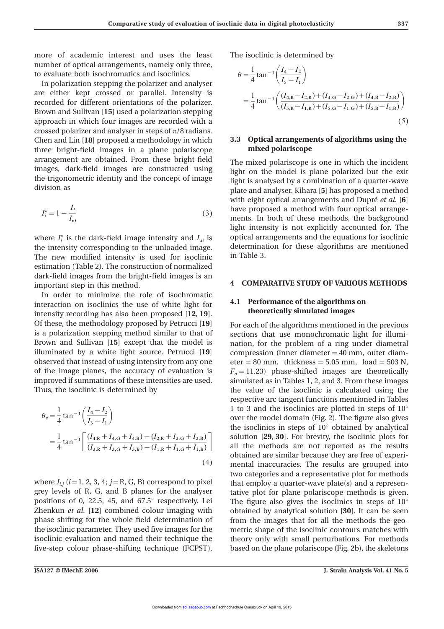more of academic interest and uses the least The isoclinic is determined by number of optical arrangements, namely only three, to evaluate both isochromatics and isoclinics.

In polarization stepping the polarizer and analyser are either kept crossed or parallel. Intensity is recorded for different orientations of the polarizer. Brown and Sullivan [**15**] used a polarization stepping approach in which four images are recorded with a (5) crossed polarizer and analyser in steps of  $\pi/8$  radians. Chen and Lin [**18**] proposed a methodology in which **3.3 Optical arrangements of algorithms using the** three bright-field images in a plane polariscope **mixed polariscope** arrangement are obtained. From these bright-field The mixed polariscope is one in which the incident images, dark-field images are constructed using  $\frac{1}{2}$  in the model is plane polarized by the evity images, dark-field images are constructed using light on the model is plane polarized but the exit<br>the trigonometric identity and the concept of image light is analyzed by a combination of a quarter way. the trigonometric identity and the concept of image light is analysed by a combination of a quarter-wave<br>division as

$$
I_i'' = 1 - \frac{I_i}{I_{ui}}\tag{3}
$$

the intensity corresponding to the unloaded image. determination for these algorithms are mentioned The new modified intensity is used for isoclinic in Table 3. estimation (Table 2). The construction of normalized dark-field images from the bright-field images is an **4 COMPARATIVE STUDY OF VARIOUS METHODS** 

In order to minimize the role of isochromatic **4.1 Performance of the algorithms on** interaction on isoclinics the use of white light for **4.1** Performance of the algorithms on intensity recording has also been proposed [12, 19] intensity recording has also been proposed [12, 19]. Of these, the methodology proposed by Petrucci [**19**] For each of the algorithms mentioned in the previous is a polarization stepping method similar to that of sections that use monochromatic light for illumi-Brown and Sullivan [15] except that the model is nation, for the problem of a ring under diametral illuminated by a white light source. Petrucci [**19**] compression (inner diameter=40 mm, outer diamobserved that instead of using intensity from any one  $e$  eter = 80 mm, thickness = 5.05 mm, load = 503 N, of the image planes, the accuracy of evaluation is *F* improved if summations of these intensities are used. simulated as in Tables 1, 2, and 3. From these images

$$
\theta_{\rm c} = \frac{1}{4} \tan^{-1} \left( \frac{I_4 - I_2}{I_3 - I_1} \right)
$$
  
= 
$$
\frac{1}{4} \tan^{-1} \left[ \frac{(I_{4,R} + I_{4,G} + I_{4,B}) - (I_{2,R} + I_{2,G} + I_{2,B})}{(I_{3,R} + I_{3,G} + I_{3,B}) - (I_{1,R} + I_{1,G} + I_{1,B})} \right]
$$
(4)

where  $I_{i,j}$  ( $i=1, 2, 3, 4; j=R$ , G, B) correspond to pixel grey levels of R, G, and B planes for the analyser tative plot for plane polariscope methods is given. positions of 0, 22.5, 45, and 67.5 $^{\circ}$  respectively. Lei The figure also gives the isoclinics in steps of 10 $^{\circ}$ Zhenkun *et al.* [**12**] combined colour imaging with obtained by analytical solution [**30**]. It can be seen phase shifting for the whole field determination of from the images that for all the methods the geothe isoclinic parameter. They used five images for the metric shape of the isoclinic contours matches with isoclinic evaluation and named their technique the theory only with small perturbations. For methods five-step colour phase-shifting technique (FCPST). based on the plane polariscope (Fig. 2b), the skeletons

$$
\theta = \frac{1}{4} \tan^{-1} \left( \frac{I_4 - I_2}{I_5 - I_1} \right)
$$
  
= 
$$
\frac{1}{4} \tan^{-1} \left( \frac{(I_{4,R} - I_{2,R}) + (I_{4,G} - I_{2,G}) + (I_{4,B} - I_{2,B})}{(I_{5,R} - I_{1,R}) + (I_{5,G} - I_{1,G}) + (I_{5,B} - I_{1,B})} \right)
$$
(5)

plate and analyser. Kihara [5] has proposed a method with eight optical arrangements and Dupré et al. [6] have proposed a method with four optical arrangements. In both of these methods, the background light intensity is not explicitly accounted for. The where  $I_i^{\prime\prime}$  is the dark-field image intensity and  $I_{ui}$  is optical arrangements and the equations for isoclinic

 $s_{\sigma}$  = 11.23) phase-shifted images are theoretically Thus, the isoclinic is determined by the value of the isoclinic is calculated using the respective arc tangent functions mentioned in Tables 1 to 3 and the isoclinics are plotted in steps of 10° over the model domain (Fig. 2). The figure also gives the isoclinics in steps of 10° obtained by analytical  $=$   $\frac{1}{4}$  tan<sup>-1</sup>  $\left[ \frac{(I_{4,R} + I_{4,G} + I_{4,B}) - (I_{2,R} + I_{2,G} + I_{2,B})}{(I_{3,R} + I_{3,G} + I_{3,B}) - (I_{1,R} + I_{1,G} + I_{1,B})} \right]$  solution [29, 30]. For brevity, the isoclinic plots for all the methods are not reported as the results obtained are similar because they are free of experi mental inaccuracies. The results are grouped into two categories and a representative plot for methods *ihat employ a quarter-wave plate(s) and a represen-*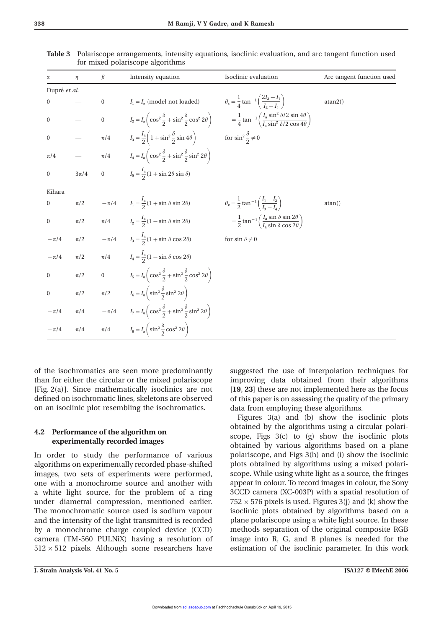| α                | $\eta$                                                      | $\beta$        | Intensity equation                                                                                                                                                                                                             | Isoclinic evaluation                                                                                       | Arc tangent function used |
|------------------|-------------------------------------------------------------|----------------|--------------------------------------------------------------------------------------------------------------------------------------------------------------------------------------------------------------------------------|------------------------------------------------------------------------------------------------------------|---------------------------|
| Dupré et al.     |                                                             |                |                                                                                                                                                                                                                                |                                                                                                            |                           |
| $\boldsymbol{0}$ |                                                             |                | 0 $I_1 = I_a$ (model not loaded) $\theta_c = \frac{1}{4} \tan^{-1} \left( \frac{2I_3 - I_1}{I_2 - I_1} \right)$                                                                                                                |                                                                                                            | atan2()                   |
| $\boldsymbol{0}$ | $\mathcal{L}^{\mathcal{L}}$ and $\mathcal{L}^{\mathcal{L}}$ | $\overline{0}$ | $I_2 = I_a \left( \cos^2 \frac{\delta}{2} + \sin^2 \frac{\delta}{2} \cos^2 2\theta \right) \qquad \qquad = \frac{1}{4} \tan^{-1} \left( \frac{I_a \sin^2 \delta / 2 \sin 4\theta}{I_a \sin^2 \delta / 2 \cos 4\theta} \right)$ |                                                                                                            |                           |
| $\boldsymbol{0}$ | $\mathcal{L}_{\mathcal{A}}$                                 |                | $\pi/4$ $I_3 = \frac{I_a}{2} \left( 1 + \sin^2 \frac{\delta}{2} \sin 4\theta \right)$ for $\sin^2 \frac{\delta}{2} \neq 0$                                                                                                     |                                                                                                            |                           |
| $\pi/4$          | $\overline{\phantom{a}}$                                    |                | $\pi/4$ $I_4 = I_a \left( \cos^2 \frac{\delta}{2} + \sin^2 \frac{\delta}{2} \sin^2 2\theta \right)$                                                                                                                            |                                                                                                            |                           |
| $\boldsymbol{0}$ | $3\pi/4$                                                    |                | 0 $I_5 = \frac{I_a}{2} (1 + \sin 2\theta \sin \delta)$                                                                                                                                                                         |                                                                                                            |                           |
| Kihara           |                                                             |                |                                                                                                                                                                                                                                |                                                                                                            |                           |
| $\boldsymbol{0}$ |                                                             |                | $\pi/2$ $-\pi/4$ $I_1 = \frac{I_a}{2}(1 + \sin \delta \sin 2\theta)$ $\theta_c = \frac{1}{2} \tan^{-1} \left( \frac{I_1 - I_2}{I_1 - I_1} \right)$                                                                             |                                                                                                            | atan()                    |
| $\boldsymbol{0}$ | $\pi/2$                                                     |                | $\pi/4$ $I_2 = \frac{I_a}{2}(1 - \sin \delta \sin 2\theta)$                                                                                                                                                                    | $= \frac{1}{2} \tan^{-1} \left( \frac{I_a \sin \delta \sin 2\theta}{I_a \sin \delta \cos 2\theta} \right)$ |                           |
| $-\pi/4$         |                                                             |                | $\pi/2$ $-\pi/4$ $I_3 = \frac{I_3}{2}(1 + \sin \delta \cos 2\theta)$                                                                                                                                                           | for $\sin\delta\neq 0$                                                                                     |                           |
| $-\pi/4$         | $\pi/2$                                                     |                | $\pi/4$ $I_4 = \frac{I_a}{2}(1 - \sin \delta \cos 2\theta)$                                                                                                                                                                    |                                                                                                            |                           |
| $\boldsymbol{0}$ | $\pi/2$                                                     |                | 0 $I_5 = I_a \left( \cos^2 \frac{\delta}{2} + \sin^2 \frac{\delta}{2} \cos^2 2\theta \right)$                                                                                                                                  |                                                                                                            |                           |
| $\boldsymbol{0}$ | $\pi/2$                                                     |                | $\pi/2$ $I_6 = I_a \left( \sin^2 \frac{\delta}{2} \sin^2 2\theta \right)$                                                                                                                                                      |                                                                                                            |                           |
|                  |                                                             |                | $-\pi/4$ $\pi/4$ $-\pi/4$ $I_7 = I_a \left( \cos^2 \frac{\delta}{2} + \sin^2 \frac{\delta}{2} \sin^2 2\theta \right)$                                                                                                          |                                                                                                            |                           |
| $-\pi/4$         | $\pi/4$                                                     |                | $\pi/4$ $I_8 = I_a \left( \sin^2 \frac{\delta}{2} \cos^2 2\theta \right)$                                                                                                                                                      |                                                                                                            |                           |

**Table 3** Polariscope arrangements, intensity equations, isoclinic evaluation, and arc tangent function used for mixed polariscope algorithms

of the isochromatics are seen more predominantly suggested the use of interpolation techniques for than for either the circular or the mixed polariscope improving data obtained from their algorithms  $[Fig, 2(a)]$ . Since mathematically isoclinics are not  $[19, 23]$  these are not implemented here as the focus defined on isochromatic lines, skeletons are observed of this paper is on assessing the quality of the primary on an isoclinic plot resembling the isochromatics. data from employing these algorithms.

algorithms on experimentally recorded phase-shifted plots obtained by algorithms using a mixed polariimages, two sets of experiments were performed, scope. While using white light as a source, the fringes one with a monochrome source and another with appear in colour. To record images in colour, the Sony a white light source, for the problem of a ring 3CCD camera (XC-003P) with a spatial resolution of under diametral compression, mentioned earlier.  $752 \times 576$  pixels is used. Figures 3(j) and (k) show the The monochromatic source used is sodium vapour isoclinic plots obtained by algorithms based on a and the intensity of the light transmitted is recorded plane polariscope using a white light source. In these by a monochrome charge coupled device (CCD) methods separation of the original composite RGB camera (TM-560 PULNiX) having a resolution of image into R, G, and B planes is needed for the  $512 \times 512$  pixels. Although some researchers have estimation of the isoclinic parameter. In this work

Figures 3(a) and (b) show the isoclinic plots **4.2 Performance of the algorithm on** botained by the algorithms using a circular polari-<br>experimentally recorded images experimentally recorded images botained by various algorithms based on a plane In order to study the performance of various polariscope, and Figs 3(h) and (i) show the isoclinic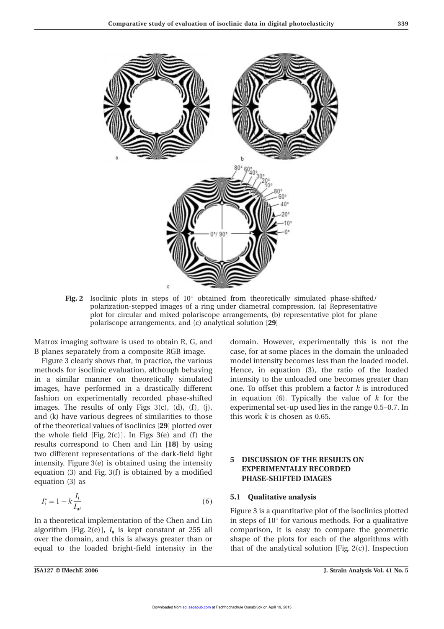

**Fig. 2** Isoclinic plots in steps of 10° obtained from theoretically simulated phase-shifted/ polarization-stepped images of a ring under diametral compression. (a) Representative plot for circular and mixed polariscope arrangements, (b) representative plot for plane polariscope arrangements, and (c) analytical solution [**29**]

in a similar manner on theoretically simulated intensity to the unloaded one becomes greater than images, have performed in a drastically different one. To offset this problem a factor  $k$  is introduced fashion on experimentally recorded phase-shifted in equation (6). Typically the value of *k* for the images. The results of only Figs 3(c), (d), (f), (j), experimental set-up used lies in the range 0.5–0.7. In and (k) have various degrees of similarities to those this work  $k$  is chosen as 0.65. of the theoretical values of isoclinics [**29**] plotted over the whole field  $[Fig. 2(c)]$ . In Figs 3(e) and (f) the results correspond to Chen and Lin [**18**] by using two different representations of the dark-field light **EXPERIMENTALLY REGULTS ON**<br> **EXPERIMENTALLY RECORDED** equation (3) and Fig. 3(f) is obtained by a modified **PHASE-SHIFTED IMAGES** equation (3) as

$$
I_i'' = 1 - k \frac{I_i}{I_{ui}} \tag{6}
$$

algorithm [Fig. 2(e)], *I* a over the domain, and this is always greater than or shape of the plots for each of the algorithms with equal to the loaded bright-field intensity in the that of the analytical solution  $[Fig, 2(c)]$ . Inspection

Matrox imaging software is used to obtain R, G, and domain. However, experimentally this is not the B planes separately from a composite RGB image. case, for at some places in the domain the unloaded Figure 3 clearly shows that, in practice, the various model intensity becomes less than the loaded model. methods for isoclinic evaluation, although behaving Hence, in equation (3), the ratio of the loaded

### **5.1** Oualitative analysis

Figure 3 is a quantitative plot of the isoclinics plotted In a theoretical implementation of the Chen and Lin in steps of  $10^\circ$  for various methods. For a qualitative comparison, it is easy to compare the geometric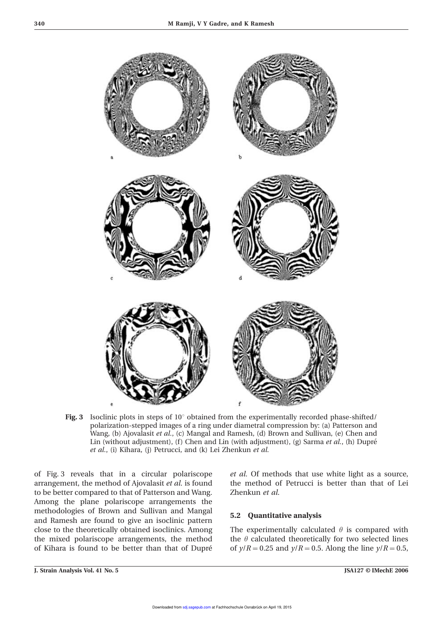

**Fig. 3** Isoclinic plots in steps of 10° obtained from the experimentally recorded phase-shifted/ polarization-stepped images of a ring under diametral compression by: (a) Patterson and Wang, (b) Ajovalasit *et al.*, (c) Mangal and Ramesh, (d) Brown and Sullivan, (e) Chen and Lin (without adjustment), (f) Chen and Lin (with adjustment), (g) Sarma *et al.*, (h) Dupré *et al.*, (i) Kihara, (j) Petrucci, and (k) Lei Zhenkun *et al.*

of Fig. 3 reveals that in a circular polariscope *et al.* Of methods that use white light as a source, arrangement, the method of Ajovalasit *et al.* is found the method of Petrucci is better than that of Lei to be better compared to that of Patterson and Wang. Zhenkun *et al.* Among the plane polariscope arrangements the methodologies of Brown and Sullivan and Mangal **5.2 Quantitative analysis** and Ramesh are found to give an isoclinic pattern close to the theoretically obtained isoclinics. Among The experimentally calculated  $\theta$  is compared with the mixed polariscope arrangements, the method the  $\theta$  calculated theoretically for two selected lines

of Kihara is found to be better than that of Dupré of  $y/R = 0.25$  and  $y/R = 0.5$ . Along the line  $y/R = 0.5$ ,

**J. Strain Analysis Vol. 41 No. 5 JSA127 © IMechE 2006**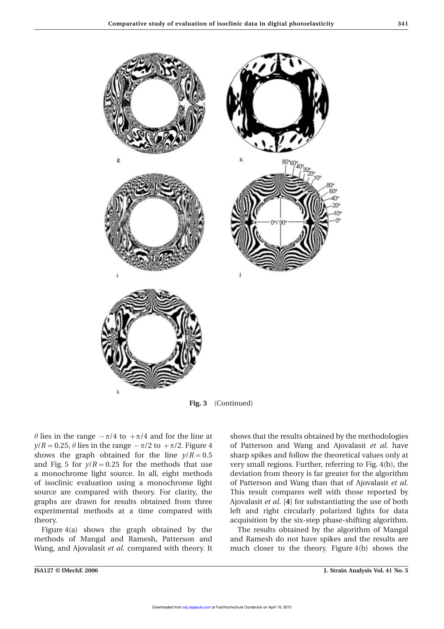

**Fig. 3** (Continued)

 $y/R = 0.25$ ,  $\theta$  lies in the range  $-\pi/2$  to  $+\pi/2$ . Figure 4 of Patterson and Wang and Ajovalasit *et al.* have shows the graph obtained for the line  $y/R = 0.5$  sharp spikes and follow the theoretical values only at and Fig. 5 for  $y/R = 0.25$  for the methods that use very small regions. Further, referring to Fig. 4(b), the a monochrome light source. In all, eight methods deviation from theory is far greater for the algorithm of isoclinic evaluation using a monochrome light of Patterson and Wang than that of Ajovalasit *et al.* source are compared with theory. For clarity, the This result compares well with those reported by graphs are drawn for results obtained from three Ajovalasit *et al.* [**4**] for substantiating the use of both experimental methods at a time compared with left and right circularly polarized lights for data theory. acquisition by the six-step phase-shifting algorithm.

methods of Mangal and Ramesh, Patterson and and Ramesh do not have spikes and the results are

 $\theta$  lies in the range  $-\pi/4$  to  $+\pi/4$  and for the line at shows that the results obtained by the methodologies

Figure 4(a) shows the graph obtained by the The results obtained by the algorithm of Mangal Wang, and Ajovalasit et al. compared with theory. It much closer to the theory. Figure 4(b) shows the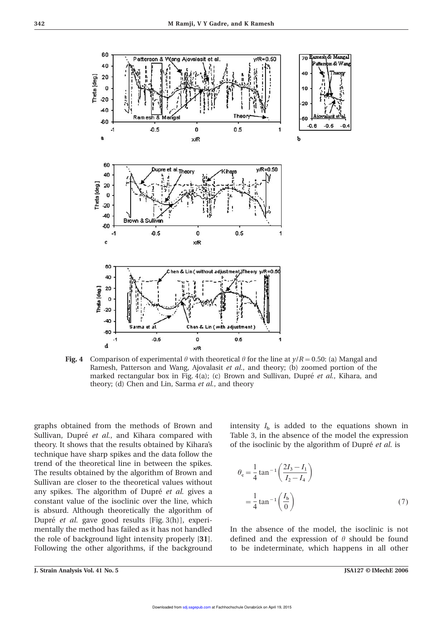

**Fig. 4** Comparison of experimental  $\theta$  with theoretical  $\theta$  for the line at  $\gamma/R = 0.50$ : (a) Mangal and Ramesh, Patterson and Wang, Ajovalasit *et al.*, and theory; (b) zoomed portion of the marked rectangular box in Fig. 4(a); (c) Brown and Sullivan, Dupré *et al.*, Kihara, and theory; (d) Chen and Lin, Sarma *et al.*, and theory

graphs obtained from the methods of Brown and Sullivan, Dupré *et al.*, and Kihara compared with Table 3, in the absence of the model the expression theory. It shows that the results obtained by Kihara's of the isoclinic by the algorithm of Dupré et al. is technique have sharp spikes and the data follow the trend of the theoretical line in between the spikes. The results obtained by the algorithm of Brown and Sullivan are closer to the theoretical values without any spikes. The algorithm of Dupré et al. gives a constant value of the isoclinic over the line, which = is absurd. Although theoretically the algorithm of Dupré *et al.* gave good results [Fig. 3(h)], experimentally the method has failed as it has not handled In the absence of the model, the isoclinic is not the role of background light intensity properly [31]. defined and the expression of  $\theta$  should be found Following the other algorithms, if the background to be indeterminate, which happens in all other

b is added to the equations shown in

$$
\theta_{\rm c} = \frac{1}{4} \tan^{-1} \left( \frac{2I_3 - I_1}{I_2 - I_4} \right)
$$

$$
= \frac{1}{4} \tan^{-1} \left( \frac{I_{\rm b}}{0} \right) \tag{7}
$$

**J. Strain Analysis Vol. 41 No. 5 JSA127 © IMechE 2006**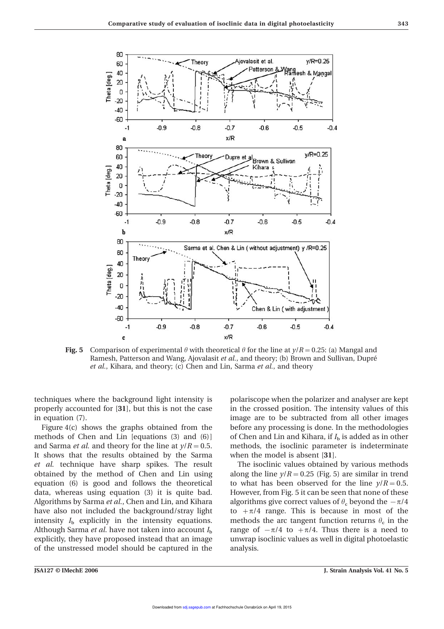

**Fig. 5** Comparison of experimental  $\theta$  with theoretical  $\theta$  for the line at  $\gamma/R = 0.25$ : (a) Mangal and Ramesh, Patterson and Wang, Ajovalasit *et al.*, and theory; (b) Brown and Sullivan, Dupré *et al.*, Kihara, and theory; (c) Chen and Lin, Sarma *et al.*, and theory

techniques where the background light intensity is polariscope when the polarizer and analyser are kept properly accounted for [**31**], but this is not the case in the crossed position. The intensity values of this in equation (7). image are to be subtracted from all other images

methods of Chen and Lin [equations (3) and (6)] and Sarma *et al.* and theory for the line at  $\gamma/R = 0.5$ . methods, the isoclinic parameter is indeterminate It shows that the results obtained by the Sarma when the model is absent [**31**]. et al. technique have sharp spikes. The result The isoclinic values obtained by various methods obtained by the method of Chen and Lin using along the line  $y/R = 0.25$  (Fig. 5) are similar in trend equation (6) is good and follows the theoretical to what has been observed for the line  $y/R = 0.5$ . data, whereas using equation (3) it is quite bad. However, from Fig. 5 it can be seen that none of these Algorithms by Sarma *et al.*, Chen and Lin, and Kihara below algorithms give correct values of  $\theta_c$  beyond the  $-\pi/4$ have also not included the background/stray light to  $+\pi/4$  range. This is because in most of the intensity  $I<sub>b</sub>$  explicitly in the intensity equations. methods the arc tangent function returns  $\theta<sub>c</sub>$  in the intensity  $I<sub>b</sub>$  explicitly in the intensity equations. Although Sarma *et al.* have not taken into account *I* b explicitly, they have proposed instead that an image unwrap isoclinic values as well in digital photoelastic of the unstressed model should be captured in the analysis.

Figure 4(c) shows the graphs obtained from the before any processing is done. In the methodologies  $_{\text{b}}$  is added as in other

range of  $-\pi/4$  to  $+\pi/4$ . Thus there is a need to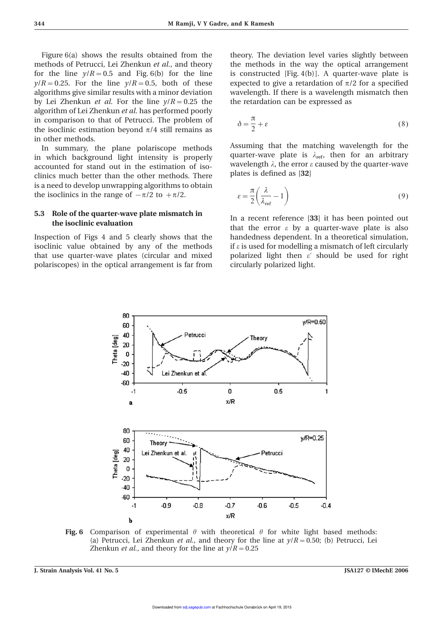Figure 6(a) shows the results obtained from the theory. The deviation level varies slightly between methods of Petrucci, Lei Zhenkun *et al.*, and theory the methods in the way the optical arrangement for the line  $y/R = 0.5$  and Fig. 6(b) for the line is constructed [Fig. 4(b)]. A quarter-wave plate is  $y/R = 0.25$ . For the line  $y/R = 0.5$ , both of these expected to give a retardation of  $\pi/2$  for a specified algorithms give similar results with a minor deviation wavelength. If there is a wavelength mismatch then by Lei Zhenkun *et al.* For the line  $y/R = 0.25$  the the retardation can be expressed as algorithm of Lei Zhenkun *et al.* has performed poorly in comparison to that of Petrucci. The problem of the isoclinic estimation beyond  $\pi/4$  still remains as in other methods.

clinics much better than the other methods. There is a need to develop unwrapping algorithms to obtain the isoclinics in the range of  $-\pi/2$  to  $+\pi/2$ .

## **5.3 Role of the quarter-wave plate mismatch in** In a recent reference [33] it has been pointed out the **isoclinic evaluation** that the error  $\varepsilon$  by a quarter-wave plate is also

isoclinic value obtained by any of the methods if  $\varepsilon$  is used for modelling a mismatch of left circularly that use quarter-wave plates (circular and mixed polarized light then  $\varepsilon'$  should be used for right polariscopes) in the optical arrangement is far from circularly polarized light.

$$
\delta = \frac{\pi}{2} + \varepsilon \tag{8}
$$

In summary, the plane polariscope methods Assuming that the matching wavelength for the in which background light intensity is properly quarter-wave plate is  $\lambda_{ref}$ , then for an arbitrary accounted for stand out in the estimation of iso-<br>clinics much better than the other methods. There<br>plates is defined as [32]

$$
\varepsilon = \frac{\pi}{2} \left( \frac{\lambda}{\lambda_{\text{ref}}} - 1 \right) \tag{9}
$$

Inspection of Figs 4 and 5 clearly shows that the handedness dependent. In a theoretical simulation,



**Fig. 6** Comparison of experimental  $\theta$  with theoretical  $\theta$  for white light based methods: (a) Petrucci, Lei Zhenkun *et al.*, and theory for the line at  $y/R = 0.50$ ; (b) Petrucci, Lei Zhenkun *et al.*, and theory for the line at  $y/R = 0.25$ 

**J. Strain Analysis Vol. 41 No. 5 JSA127 © IMechE 2006**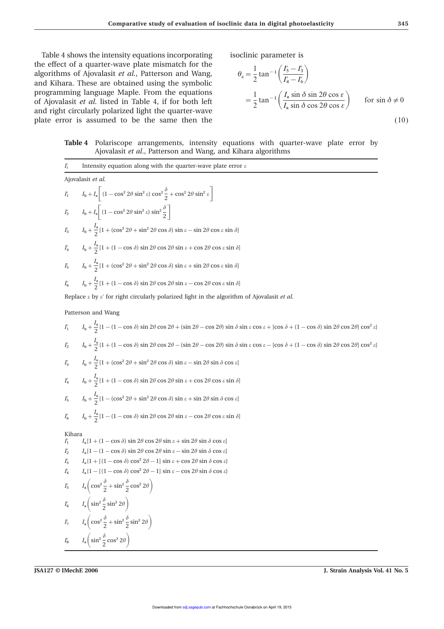Table 4 shows the intensity equations incorporating isoclinic parameter is the effect of a quarter-wave plate mismatch for the algorithms of Ajovalasit et al., Patterson and Wang, and Kihara. These are obtained using the symbolic programming language Maple. From the equations of Ajovalasit et al. listed in Table 4, if for both left and right circularly polarized light the quarter-wave plate error is assumed to be the same then the (10)

$$
\theta_{\rm c} = \frac{1}{2} \tan^{-1} \left( \frac{I_5' - I_3'}{I_4' - I_6'} \right)
$$
  
=  $\frac{1}{2} \tan^{-1} \left( \frac{I_a \sin \delta \sin 2\theta \cos \epsilon}{I_a \sin \delta \cos 2\theta \cos \epsilon} \right)$  for  $\sin \delta \neq 0$  (10)

### **Table 4** Polariscope arrangements, intensity equations with quarter-wave plate error by Ajovalasit *et al*., Patterson and Wang, and Kihara algorithms

$$
\frac{1}{4} \text{ intensity equation along with the quarter-wave plate error } z
$$
\n
$$
A \text{jovalasit } et al.
$$
\n
$$
I_1 \qquad I_2 + I_3 \left[ (1 - \cos^2 2\theta \sin^2 \theta) \sin^2 \theta \sin^2 \theta \right]
$$
\n
$$
I_2 \qquad I_3 + I_4 \left[ (1 - \cos^2 2\theta \sin^2 \theta) \sin^2 \theta \right] \frac{1}{2} \Big]
$$
\n
$$
I_3 \qquad I_4 + I_4 \left[ (1 - \cos^2 2\theta \sin^2 \theta) \sin^2 \theta \sin^2 \theta \right]
$$
\n
$$
I_4 \qquad I_5 + \frac{I_2}{2} [1 + (1 - \cos \theta) \sin 2\theta \cos 2\theta \sin z + \cos 2\theta \cos z \sin \theta]
$$
\n
$$
I_4 \qquad I_5 + \frac{I_3}{2} [1 + (1 - \cos \theta) \sin 2\theta \cos 2\theta \sin z + \cos 2\theta \cos z \sin \theta]
$$
\n
$$
I_6 \qquad I_6 + \frac{I_4}{2} [1 + (1 - \cos \theta) \sin 2\theta \cos 2\theta \sin z + \cos 2\theta \cos z \sin \theta]
$$
\n
$$
I_7 \qquad I_8 + \frac{I_4}{2} [1 + (1 - \cos \theta) \sin 2\theta \cos 2\theta \sin z - \cos 2\theta \cos z \sin \theta]
$$
\n
$$
I_8 \qquad I_9 + \frac{I_9}{2} [1 + (1 - \cos \theta) \sin 2\theta \cos 2\theta \sin z - \cos 2\theta \cos z \sin \theta]
$$
\n
$$
I_9 \qquad I_9 + \frac{I_9}{2} [1 + (1 - \cos \theta) \sin 2\theta \cos 2\theta + (\sin 2\theta - \cos 2\theta) \sin \delta \sin z \cos z + (\cos \delta + (1 - \cos \delta) \sin 2\theta \cos 2\theta] \cos^2 \theta]
$$
\n
$$
I_8 \qquad I_9 + \frac{I_9}{2} [1 + (1 - \cos \delta) \sin 2\theta \cos 2\theta - (\sin 2\theta - \cos 2\theta) \sin \delta \sin z \cos z - [\cos \delta +
$$

**JSA127 © IMechE 2006 J. Strain Analysis Vol. 41 No. 5**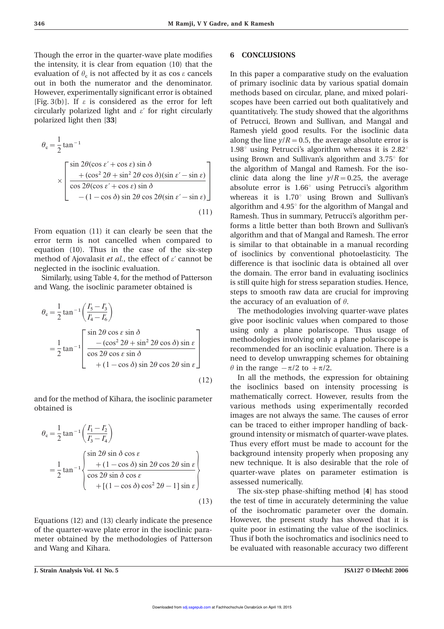Though the error in the quarter-wave plate modifies **6 CONCLUSIONS** the intensity, it is clear from equation (10) that the evaluation of  $\theta_c$ out in both the numerator and the denominator. of primary isoclinic data by various spatial domain However, experimentally significant error is obtained methods based on circular, plane, and mixed polari- [Fig. 3(b)]. If  $\varepsilon$  is considered as the error for left scopes have been carried out both qualitatively and circularly polarized light and  $\varepsilon'$  for right circularly quantitatively. The study showed that the algorithms polarized light then [33]  $\qquad \qquad$  of Petrucci, Brown and Sullivan, and Mangal and

$$
\theta_{\rm c} = \frac{1}{2} \tan^{-1}
$$
  
\n
$$
\times \begin{bmatrix}\n\sin 2\theta (\cos \epsilon' + \cos \epsilon) \sin \delta \\
+ (\cos^2 2\theta + \sin^2 2\theta \cos \delta)(\sin \epsilon' - \sin \epsilon) \\
\cos 2\theta (\cos \epsilon' + \cos \epsilon) \sin \delta \\
- (1 - \cos \delta) \sin 2\theta \cos 2\theta (\sin \epsilon' - \sin \epsilon)\n\end{bmatrix}
$$
\n(11)

$$
\theta_{\rm c} = \frac{1}{2} \tan^{-1} \left( \frac{I'_5 - I'_3}{I'_4 - I'_6} \right)
$$
  
= 
$$
\frac{1}{2} \tan^{-1} \left[ \frac{\sin 2\theta \cos \epsilon \sin \delta}{\cos 2\theta \cos \epsilon \sin \delta} + (1 - \cos \delta) \sin 2\theta \cos 2\theta \sin \epsilon \right]
$$
(12)

various methods using experimentally recorded obtained is

$$
\theta_{\rm c} = \frac{1}{2} \tan^{-1} \left( \frac{I_1' - I_2'}{I_3' - I_4} \right)
$$
  
=  $\frac{1}{2} \tan^{-1} \left\{ \frac{\sin 2\theta \sin \delta \cos \epsilon}{\cos 2\theta \sin \delta \cos \epsilon} + \left[ (1 - \cos \delta) \cos^2 2\theta - 1 \right] \sin \epsilon \right\}$  (13)

of the quarter-wave plate error in the isoclinic para- quite poor in estimating the value of the isoclinics. meter obtained by the methodologies of Patterson Thus if both the isochromatics and isoclinics need to and Wang and Kihara. be evaluated with reasonable accuracy two different

In this paper a comparative study on the evaluation of Petrucci, Brown and Sullivan, and Mangal and Ramesh yield good results. For the isoclinic data along the line  $y/R = 0.5$ , the average absolute error is 1.98° using Petrucci's algorithm whereas it is 2.82° using Brown and Sullivan's algorithm and 3.75° for the algorithm of Mangal and Ramesh. For the iso-  $\times \begin{array}{|l|l|l|l|l|} \hline +(\cos^2 2\theta + \sin^2 2\theta \cos \theta)(\sin \theta - (1 - \cos \theta) \sin \theta & \sin^2 2\theta (\cos \theta + \cos^2 \theta) \sin \theta \\ \hline \end{array}$  clinic data along the line  $y/R = 0.25$ , the average absolute error is 1.66° using Petrucci's algorithm absolute error is 1.66° using Petrucci's algorithm whereas it is 1.70° using Brown and Sullivan's algorithm and 4.95° for the algorithm of Mangal and Ramesh. Thus in summary, Petrucci's algorithm performs a little better than both Brown and Sullivan's From equation (11) it can clearly be seen that the<br>
error term is not cancelled when compared to<br>
equation (10). Thus in the case of the six-step<br>
method of Ajovalasit *et al.*, the effect of *e'* cannot be<br>
neglected in the accuracy of an evaluation of  $\theta$ .

> The methodologies involving quarter-wave plates give poor isoclinic values when compared to those using only a plane polariscope. Thus usage of methodologies involving only a plane polariscope is recommended for an isoclinic evaluation. There is a need to develop unwrapping schemes for obtaining  $\theta$  in the range  $-\pi/2$  to  $+\pi/2$ .

In all the methods, the expression for obtaining the isoclinics based on intensity processing is and for the method of Kihara, the isoclinic parameter mathematically correct. However, results from the images are not always the same. The causes of error can be traced to either improper handling of background intensity or mismatch of quarter-wave plates. Thus every effort must be made to account for the background intensity properly when proposing any new technique. It is also desirable that the role of quarter-wave plates on parameter estimation is assessed numerically.

The six-step phase-shifting method [**4**] has stood (13) the test of time in accurately determining the value of the isochromatic parameter over the domain. Equations (12) and (13) clearly indicate the presence However, the present study has showed that it is

**J. Strain Analysis Vol. 41 No. 5 JSA127 © IMechE 2006**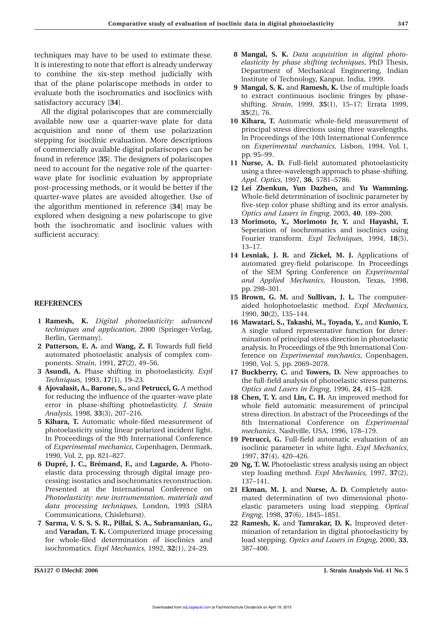It is interesting to note that effort is already underway *elasticity by phase shifting techniques*, PhD Thesis, It is interesting the six stap, mathod judicially with Department of Mechanical Engineering, Indian to combine the six-step method judicially with<br>
that of the plane polariscope methods in order to<br>
evaluate both the isochromatics and isoclinics with<br>
satisfactory accuracy [34].<br>
Satisfactory accuracy [34].

All the digital polariscopes that are commercially **35**(2), 76. available now use a quarter-wave plate for data **10 Kihara, T.** Automatic whole-field measurement of acquisition and none of them use polarization principal stress directions using three wavelengths.<br>
In Proceedings of the 10th International Conference In Proceedings of the 10th International Conference<br>
of commercially available digital polariscenes can be a submitted mechanics, Lisbon, 1994, Vol. 1, of commercially available digital polariscopes can be <sup>on *Experimental* polariscopes can be p. 95–99.</sup> pp. 95–99. found in reference [**35**]. The designers of polariscopes **11 Nurse, A. D.** Full-field automated photoelasticity need to account for the negative role of the quarter-<br>using a three-wavelength approach to phase-shifting. wave plate for isoclinic evaluation by appropriate *Appl. Optics*, 1997, **36**, 5781–5786.<br>post-processing methods, or it would be better if the **12 Lei Zhenkun. Yun Dazhen.** and quarter-wave plates are avoided altogether. Use of Whole-field determination of isoclinic parameter by five-step color phase shifting and its error analysis.<br> **optics** and Lasers in Engng, 2003, **40**, 189–200.<br> **optics** and Lasers in Engng, 2003, **40**, 189–200. explored when designing a new polariscope to give<br> **Contract and Lasers in Engng**, 2003, **40**, 189–200.<br> **13 Morimoto, Y., Morimoto Jr, Y.** and **Hayashi, T. 13 Morimoto, Y., Morimoto Jr, Y.** and **Hayashi, I.** Seperation of isochromatics and isoclinics using sufficient accuracy.

- **1 Ramesh, K.** *Digital photoelasticity: advanced* **16 Mawatari, S., Takashi, M., Toyada, Y.,** and **Kunio, T.**
- ponents. *Strain*, 1991, **27**(2), 49–56. 1990, Vol. 5, pp. 2069–2078.
- **3 Asundi, A.** Phase shifting in photoelasticity. *Expl* **17 Buckberry, C.** and **Towers, D.** New approaches to
- **4 Ajovalasit, A., Barone, S.,** and **Petrucci, G.** A method *Optics and Lasers in Engng*, 1996, **24**, 415–428.
- photoelasticity using linear polarized incident light. *mechanics*, Nashville, USA, 1996, 178–179. In Proceedings of the 9th International Conference **19 Petrucci, G.** Full-field automatic evaluation of an 1990, Vol. 2, pp. 821–827. 1997, **37**(4), 420–426.
- **6 Dupre´, J. C., Bre´mand, F.,** and **Lagarde, A.** Photo- **20 Ng, T. W.** Photoelastic stress analysis using an object cessing: isostatics and isochromatics reconstruction. 137–141. Presented at the International Conference on **21 Ekman, M. J.** and **Nurse, A. D.** Completely auto-Communications, Chislehurst). *Engng*, 1998, **37**(6), 1845–1851.
- isochromatics. *Expl Mechanics*, 1992, **32**(1), 24–29. 387–400.
- techniques may have to be used to estimate these. **8 Mangal, S. K.** *Data acquisition in digital photo*
	- shifting. *Strain*, 1999, **35**(1), 15–17; Errata 1999,
	-
	-
	- 12 Lei Zhenkun, Yun Dazhen, and Yu Wamming.
	- Fourier transform. *Expl Techniques*, 1994, 18(5), 13–17.
	- **14 Lesniak, J. R.** and **Zickel, M. J.** Applications of automated grey-field polariscope. In Proceedings of the SEM Spring Conference on *Experimental and Applied Mechanics*, Houston, Texas, 1998, pp. 298–301.
- **15 Brown, G. M.** and **Sullivan, J. L.** The computer-**REFERENCES** aided holophotoelastic method. *Expl Mechanics*, 1990, **30**(2), 135–144.
- *techniques and application*, 2000 (Springer-Verlag, A single valued representative function for deter-<br>Berlin, Germany). Berlin, Germany).<br>**2 Patterson, E. A.** and **Wang, Z. F.** Towards full field analysis. In Proceedings of the 9th International Con-**Patterson, E. A.** and **Wang, Z. F.** Towards full field analysis. In Proceedings of the 9th International Con-<br>automated photoelastic analysis of complex com-<br>ference on *Experimental mechanics*. Copenhagen. ference on *Experimental mechanics*, Copenhagen,
	- the full-field analysis of photoelastic stress patterns.
- for reducing the influence of the quarter-wave plate **18 Chen, T. Y.** and **Lin, C. H.** An improved method for error in phase-shifting photoelasticity. *J. Strain* whole field automatic measurement of principal error in phase-shifting photoelasticity. *J. Strain* whole field automatic measurement of principal stress direction. In abstract of the Proceedings of the **5 Kihara, T.** Automatic whole-filed measurement of 8th International Conference on *Experimental*
	- of *Experimental mechanics*, Copenhagen, Denmark, isoclinic parameter in white light. *Expl Mechanics*,
	- elastic data processing through digital image pro- step loading method. *Expl Mechanics*, 1997, **37**(2),
	- *Photoelasticity: new instrumentation, materials and* mated determination of two dimensional photo*data processing techniques*, London, 1993 (SIRA elastic parameters using load stepping. *Optical*
- **7 Sarma, V. S. S. S. R., Pillai, S. A., Subramanian, G., 22 Ramesh, K.** and **Tamrakar, D. K.** Improved deterand **Varadan, T. K.** Computerized image processing mination of retardation in digital photoelasticity by for whole-filed determination of isoclinics and load stepping. *Optics and Lasers in Engng*, 2000, **33**,